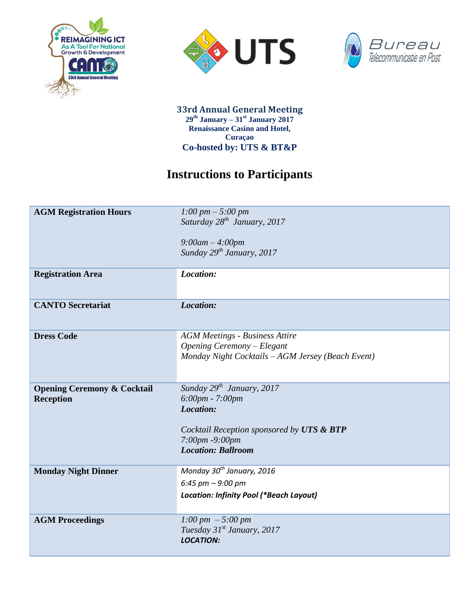





**33rd Annual General Meeting 29th January – 31st January 2017 Renaissance Casino and Hotel, Curaçao Co-hosted by: UTS & BT&P**

## **Instructions to Participants**

| <b>AGM Registration Hours</b>                              | 1:00 pm $-$ 5:00 pm<br>Saturday $28^{th}$ January, 2017<br>$9:00am - 4:00pm$<br>Sunday 29 <sup>th</sup> January, 2017                                      |
|------------------------------------------------------------|------------------------------------------------------------------------------------------------------------------------------------------------------------|
| <b>Registration Area</b>                                   | Location:                                                                                                                                                  |
| <b>CANTO Secretariat</b>                                   | Location:                                                                                                                                                  |
| <b>Dress Code</b>                                          | <b>AGM Meetings - Business Attire</b><br>Opening Ceremony - Elegant<br>Monday Night Cocktails - AGM Jersey (Beach Event)                                   |
| <b>Opening Ceremony &amp; Cocktail</b><br><b>Reception</b> | Sunday $29^{th}$ January, 2017<br>6:00pm - 7:00pm<br>Location:<br>Cocktail Reception sponsored by UTS & BTP<br>7:00pm -9:00pm<br><b>Location: Ballroom</b> |
| <b>Monday Night Dinner</b>                                 | Monday 30 <sup>th</sup> January, 2016<br>$6:45$ pm $-9:00$ pm<br>Location: Infinity Pool (*Beach Layout)                                                   |
| <b>AGM Proceedings</b>                                     | 1:00 pm $-5:00$ pm<br>Tuesday 31 <sup>st</sup> January, 2017<br><b>LOCATION:</b>                                                                           |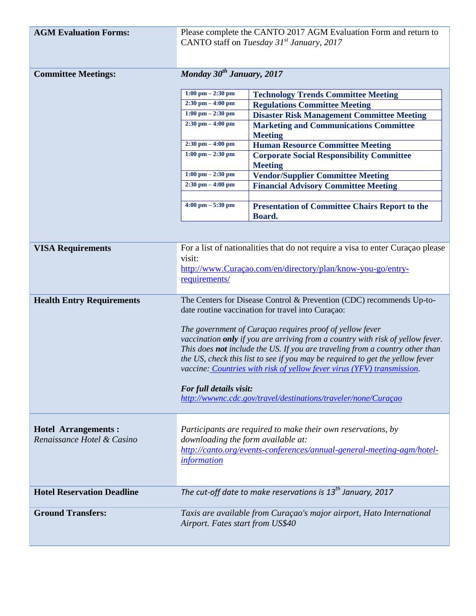| <b>AGM Evaluation Forms:</b>      | Please complete the CANTO 2017 AGM Evaluation Form and return to<br>CANTO staff on Tuesday 31 <sup>st</sup> January, 2017                                                                                                                                                                                                                                                                                                                |                                                                                           |  |
|-----------------------------------|------------------------------------------------------------------------------------------------------------------------------------------------------------------------------------------------------------------------------------------------------------------------------------------------------------------------------------------------------------------------------------------------------------------------------------------|-------------------------------------------------------------------------------------------|--|
| <b>Committee Meetings:</b>        | Monday 30 <sup>th</sup> January, 2017                                                                                                                                                                                                                                                                                                                                                                                                    |                                                                                           |  |
|                                   |                                                                                                                                                                                                                                                                                                                                                                                                                                          |                                                                                           |  |
|                                   | $1:00$ pm $- 2:30$ pm<br>$2:30$ pm $-4:00$ pm                                                                                                                                                                                                                                                                                                                                                                                            | <b>Technology Trends Committee Meeting</b>                                                |  |
|                                   | $1:00 \text{ pm} - 2:30 \text{ pm}$                                                                                                                                                                                                                                                                                                                                                                                                      | <b>Regulations Committee Meeting</b><br><b>Disaster Risk Management Committee Meeting</b> |  |
|                                   | $2:30$ pm $-4:00$ pm                                                                                                                                                                                                                                                                                                                                                                                                                     | <b>Marketing and Communications Committee</b>                                             |  |
|                                   |                                                                                                                                                                                                                                                                                                                                                                                                                                          | <b>Meeting</b>                                                                            |  |
|                                   | $2:30$ pm $-4:00$ pm                                                                                                                                                                                                                                                                                                                                                                                                                     | <b>Human Resource Committee Meeting</b>                                                   |  |
|                                   | $1:00$ pm $- 2:30$ pm                                                                                                                                                                                                                                                                                                                                                                                                                    | <b>Corporate Social Responsibility Committee</b><br><b>Meeting</b>                        |  |
|                                   | $1:00$ pm $- 2:30$ pm                                                                                                                                                                                                                                                                                                                                                                                                                    | <b>Vendor/Supplier Committee Meeting</b>                                                  |  |
|                                   | $2:30$ pm $-4:00$ pm                                                                                                                                                                                                                                                                                                                                                                                                                     | <b>Financial Advisory Committee Meeting</b>                                               |  |
|                                   | $4:00 \text{ pm} - 5:30 \text{ pm}$                                                                                                                                                                                                                                                                                                                                                                                                      |                                                                                           |  |
|                                   |                                                                                                                                                                                                                                                                                                                                                                                                                                          | <b>Presentation of Committee Chairs Report to the</b><br>Board.                           |  |
|                                   |                                                                                                                                                                                                                                                                                                                                                                                                                                          |                                                                                           |  |
| <b>VISA Requirements</b>          |                                                                                                                                                                                                                                                                                                                                                                                                                                          | For a list of nationalities that do not require a visa to enter Curaçao please            |  |
|                                   | visit:<br>http://www.Curaçao.com/en/directory/plan/know-you-go/entry-                                                                                                                                                                                                                                                                                                                                                                    |                                                                                           |  |
|                                   | requirements/                                                                                                                                                                                                                                                                                                                                                                                                                            |                                                                                           |  |
|                                   |                                                                                                                                                                                                                                                                                                                                                                                                                                          |                                                                                           |  |
| <b>Health Entry Requirements</b>  | The Centers for Disease Control & Prevention (CDC) recommends Up-to-<br>date routine vaccination for travel into Curaçao:<br>The government of Curaçao requires proof of yellow fever<br>vaccination only if you are arriving from a country with risk of yellow fever.<br>This does not include the US. If you are traveling from a country other than<br>the US, check this list to see if you may be required to get the yellow fever |                                                                                           |  |
|                                   |                                                                                                                                                                                                                                                                                                                                                                                                                                          |                                                                                           |  |
|                                   |                                                                                                                                                                                                                                                                                                                                                                                                                                          |                                                                                           |  |
|                                   |                                                                                                                                                                                                                                                                                                                                                                                                                                          |                                                                                           |  |
|                                   |                                                                                                                                                                                                                                                                                                                                                                                                                                          |                                                                                           |  |
|                                   |                                                                                                                                                                                                                                                                                                                                                                                                                                          |                                                                                           |  |
|                                   | vaccine: Countries with risk of yellow fever virus (YFV) transmission.                                                                                                                                                                                                                                                                                                                                                                   |                                                                                           |  |
|                                   | For full details visit:                                                                                                                                                                                                                                                                                                                                                                                                                  |                                                                                           |  |
|                                   | http://wwwnc.cdc.gov/travel/destinations/traveler/none/Curaçao                                                                                                                                                                                                                                                                                                                                                                           |                                                                                           |  |
|                                   |                                                                                                                                                                                                                                                                                                                                                                                                                                          |                                                                                           |  |
| <b>Hotel Arrangements:</b>        |                                                                                                                                                                                                                                                                                                                                                                                                                                          |                                                                                           |  |
| Renaissance Hotel & Casino        | Participants are required to make their own reservations, by<br>downloading the form available at:                                                                                                                                                                                                                                                                                                                                       |                                                                                           |  |
|                                   |                                                                                                                                                                                                                                                                                                                                                                                                                                          | http://canto.org/events-conferences/annual-general-meeting-agm/hotel-                     |  |
|                                   | <i>information</i>                                                                                                                                                                                                                                                                                                                                                                                                                       |                                                                                           |  |
|                                   |                                                                                                                                                                                                                                                                                                                                                                                                                                          |                                                                                           |  |
| <b>Hotel Reservation Deadline</b> |                                                                                                                                                                                                                                                                                                                                                                                                                                          | The cut-off date to make reservations is $13^{th}$ January, 2017                          |  |
|                                   |                                                                                                                                                                                                                                                                                                                                                                                                                                          |                                                                                           |  |
| <b>Ground Transfers:</b>          | Taxis are available from Curaçao's major airport, Hato International                                                                                                                                                                                                                                                                                                                                                                     |                                                                                           |  |
|                                   | Airport. Fates start from US\$40                                                                                                                                                                                                                                                                                                                                                                                                         |                                                                                           |  |
|                                   |                                                                                                                                                                                                                                                                                                                                                                                                                                          |                                                                                           |  |